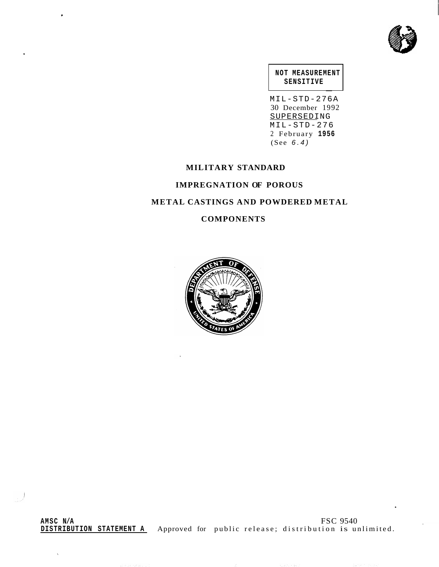

## **NOT MEASUREMENT SENSITIVE**

MIL-STD-276A 30 December 1992 SUPERSEDING 2 February **1956**  (See *6.4)*  MIL-STD-276

# **MILITARY STANDARD**

,

 $\ddot{\phantom{0}}$ 

# **IMPREGNATION OF POROUS**

# **METAL CASTINGS AND POWDERED METAL**

# **COMPONENTS**

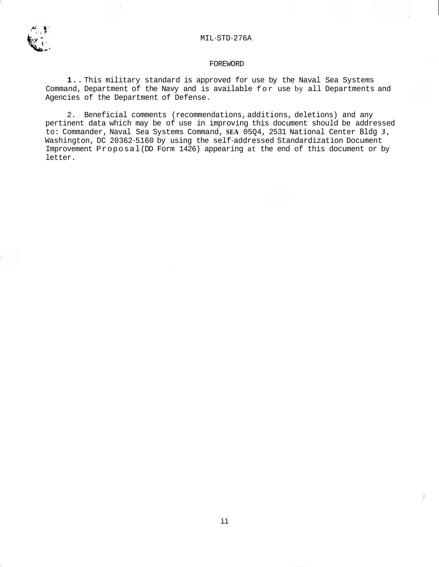

### FOREWORD

**1..** This military standard is approved for use by the Naval Sea Systems Command, Department of the Navy and is available for use by all Departments and Agencies of the Department of Defense.

2. Beneficial comments (recommendations, additions, deletions) and any pertinent data which may be of use in improving this document should be addressed to: Commander, Naval Sea Systems Command, **SEA** 05Q4, 2531 National Center Bldg *3,*  Washington, DC 20362-5160 by using the self-addressed Standardization Document Improvement Proposal (DD Form 1426) appearing at the end of this document or by letter.

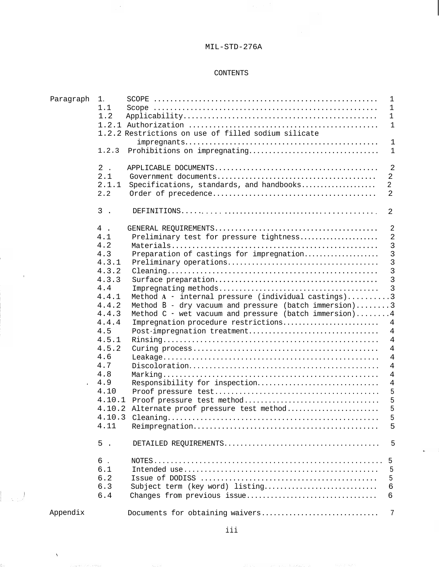$\sim$ 

## CONTENTS

| Paragraph | 1.<br>1.1<br>1.2                                                                                                                                                                        | 1<br>$\mathbf{1}$<br>$\mathbf{1}$<br>1.2.2 Restrictions on use of filled sodium silicate                                                                                                                                                                                                                                                                                                                                                                                                                       | $\mathbf{1}$                                                                                                                                                                                                                      |
|-----------|-----------------------------------------------------------------------------------------------------------------------------------------------------------------------------------------|----------------------------------------------------------------------------------------------------------------------------------------------------------------------------------------------------------------------------------------------------------------------------------------------------------------------------------------------------------------------------------------------------------------------------------------------------------------------------------------------------------------|-----------------------------------------------------------------------------------------------------------------------------------------------------------------------------------------------------------------------------------|
|           | 1.2.3                                                                                                                                                                                   | Prohibitions on impregnating                                                                                                                                                                                                                                                                                                                                                                                                                                                                                   | $1\,$<br>$\mathbf{1}$                                                                                                                                                                                                             |
|           | $2$ .<br>2.1<br>2.1.1<br>2.2<br>$3$ .                                                                                                                                                   | 2<br>$\overline{a}$<br>Specifications, standards, and handbooks<br>$\overline{2}$<br>2                                                                                                                                                                                                                                                                                                                                                                                                                         | $\overline{2}$                                                                                                                                                                                                                    |
|           | 4.<br>4.1<br>4.2<br>4.3<br>4.3.1<br>4.3.2<br>4.3.3<br>4.4<br>4.4.1<br>4.4.2<br>4.4.3<br>4.4.4<br>4.5<br>4.5.1<br>4.5.2<br>4.6<br>4.7<br>4.8<br>.4.9<br>4.10<br>4.10.1<br>4.10.3<br>4.11 | Preliminary test for pressure tightness<br>Preparation of castings for impregnation<br>Method A - internal pressure (individual castings)3<br>Method B - dry vacuum and pressure (batch immersion)3<br>Method $C$ $\cdot$ wet vacuum and pressure (batch immersion)4<br>Impregnation procedure restrictions<br>Post-impregnation treatment<br>$\overline{4}$<br>$\overline{4}$<br>$\overline{4}$<br>Responsibility for inspection<br>Proof pressure test method<br>4.10.2 Alternate proof pressure test method | $\overline{2}$<br>$\overline{2}$<br>$\overline{3}$<br>$\mathbf{3}$<br>$\overline{3}$<br>$\mathbf{3}$<br>$\overline{3}$<br>$\overline{3}$<br>4<br>4<br>$\overline{4}$<br>$\overline{4}$<br>$\overline{4}$<br>5<br>5<br>5<br>5<br>5 |
|           | 5.                                                                                                                                                                                      |                                                                                                                                                                                                                                                                                                                                                                                                                                                                                                                | -5                                                                                                                                                                                                                                |
|           | 6.<br>6.1<br>6.2<br>6.3<br>6.4                                                                                                                                                          | 5<br>5<br>5<br>Subject term (key word) listing<br>6<br>Changes from previous issue<br>6                                                                                                                                                                                                                                                                                                                                                                                                                        |                                                                                                                                                                                                                                   |
| Appendix  |                                                                                                                                                                                         | Documents for obtaining waivers                                                                                                                                                                                                                                                                                                                                                                                                                                                                                | 7                                                                                                                                                                                                                                 |

I

 $\langle \rangle_{\rm L2}$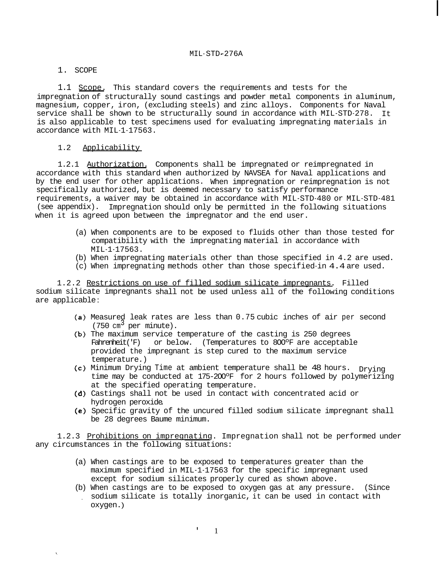## 1. SCOPE

1.1 Scope. This standard covers the requirements and tests for the impregnation of structurally sound castings and powder metal components in aluminum, magnesium, copper, iron, (excluding steels) and zinc alloys. Components for Naval service shall be shown to be structurally sound in accordance with MIL-STD-278. It is also applicable to test specimens used for evaluating impregnating materials in accordance with MIL-1-17563.

## 1.2 Applicability

1.2.1 Authorization. Components shall be impregnated or reimpregnated in accordance with this standard when authorized by NAVSEA for Naval applications and by the end user for other applications. When impregnation or reimpregnation is not specifically authorized, but is deemed necessary to satisfy performance requirements, a waiver may be obtained in accordance with MIL-STD-480 or MIL-STD-481 (see appendix). Impregnation should only be permitted in the following situations when it is agreed upon between the impregnator and the end user.

- (a) When components are to be exposed to fluids other than those tested for compatibility with the impregnating material in accordance with MIL-1-17563.
- (b) When impregnating materials other than those specified in 4.2 are used.
- (c) When impregnating methods other than those specified-in 4.4 are used.

1.2.2 Restrictions on use of filled sodium silicate impregnants. Filled sodium silicate impregnants shall not be used unless all of the following conditions are applicable :

- Measured leak rates are less than 0.75 cubic inches of air per second  $(750 \text{ cm}^3 \text{ per minute}).$
- (b) The maximum service temperature of the casting is 250 degrees Fahrenheit('F) or below. (Temperatures to 800°F are acceptable provided the impregnant is step cured to the maximum service temperature.)
- Minimum Drying Time at ambient temperature shall be 48 hours. Drying time may be conducted at 175-2OOºF for 2 hours followed by polymerizing at the specified operating temperature.
- (d) Castings shall not be used in contact with concentrated acid or hydrogen peroxide .
- (e) Specific gravity of the uncured filled sodium silicate impregnant shall be 28 degrees Baume minimum.

1.2.3 Prohibitions on impregnating. Impregnation shall not be performed under any circumstances in the following situations:

- (a) When castings are to be exposed to temperatures greater than the maximum specified in MIL-1-17563 for the specific impregnant used except for sodium silicates properly cured as shown above.
- (b) When castings are to be exposed to oxygen gas at any pressure. (Since sodium silicate is totally inorganic, it can be used in contact with oxygen. ) ,

**'**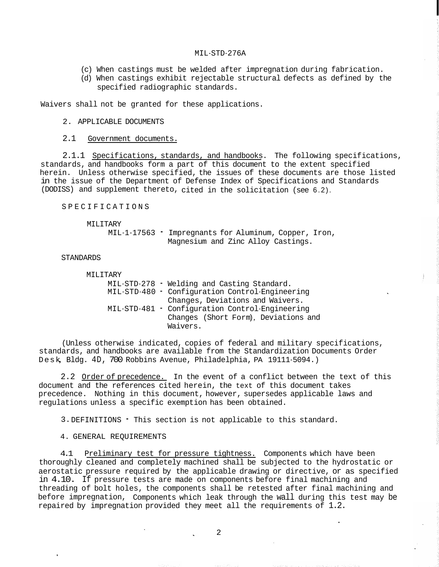- (c) When castings must be welded after impregnation during fabrication.
- (d) When castings exhibit rejectable structural defects as defined by the specified radiographic standards.

Waivers shall not be granted for these applications.

## 2. APPLICABLE DOCUMENTS

2.1 Government documents.

2.1.1 Specifications, standards, and handbooks. The following specifications, standards, and handbooks form a part of this document to the extent specified herein. Unless otherwise specified, the issues of these documents are those listed in the issue of the Department of Defense Index of Specifications and Standards (DODISS) and supplement thereto, cited in the solicitation (see 6.2).

SPECIFICATIONS

MILITARY

MIL-1-17563 - Impregnants for Aluminum, Copper, Iron, Magnesium and Zinc Alloy Castings.

## STANDARDS

| MTI.TTARY |                                                 |
|-----------|-------------------------------------------------|
|           | MIL-STD-278 • Welding and Casting Standard.     |
|           | MIL-STD-480 · Configuration Control-Engineering |
|           | Changes, Deviations and Waivers.                |
|           | MIL-STD-481 · Configuration Control-Engineering |
|           | Changes (Short Form), Deviations and            |
|           | Waivers.                                        |

(Unless otherwise indicated, copies of federal and military specifications, standards, and handbooks are available from the Standardization Documents Order Desk**,** Bldg. 4D, 700 Robbins Avenue, Philadelphia, PA 19111-5094.)

2.2 Order of precedence. In the event of a conflict between the text of this document and the references cited herein, the text of this document takes precedence. Nothing in this document, however, supersedes applicable laws and regulations unless a specific exemption has been obtained.

3.DEFINITIONS - This section is not applicable to this standard.

4. GENERAL REQUIREMENTS

,

4.1 Preliminary test for pressure tightness. Components which have been thoroughly cleaned and completely machined shall be subjected to the hydrostatic or aerostatic pressure required by the applicable drawing or directive, or as specified in 4.10. If pressure tests are made on components before final machining and threading of bolt holes, the components shall be retested after final machining and before impregnation, Components which leak through the wall during this test may be repaired by impregnation provided they meet all the requirements of 1.2.

2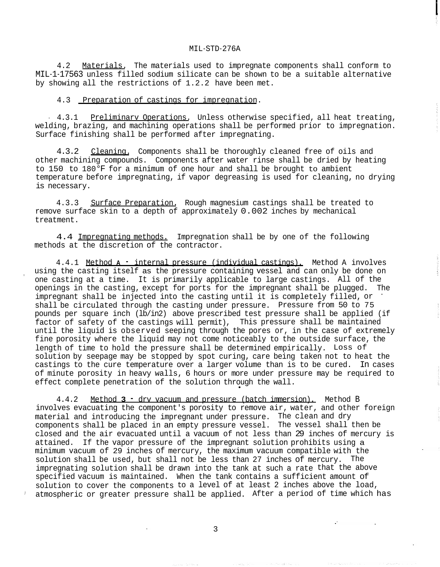4.2 Materials. The materials used to impregnate components shall conform to MIL-1-17563 unless filled sodium silicate can be shown to be a suitable alternative by showing all the restrictions of 1.2.2 have been met.

4.3 Preparation of castings for impregnation.

4.3.1 Preliminary Operations. Unless otherwise specified, all heat treating, welding, brazing, and machining operations shall be performed prior to impregnation. Surface finishing shall be performed after impregnating.

4.3.2 Cleaning. Components shall be thoroughly cleaned free of oils and other machining compounds. Components after water rinse shall be dried by heating to 150 to 180°F for a minimum of one hour and shall be brought to ambient temperature before impregnating, if vapor degreasing is used for cleaning, no drying is necessary.

4.3.3 Surface Preparation. Rough magnesium castings shall be treated to remove surface skin to a depth of approximately 0.002 inches by mechanical treatment.

4.4 Impregnating methods. Impregnation shall be by one of the following methods at the discretion of the contractor.

4.4.1 Method **A** - internal pressure (individual castings). Method A involves using the casting itself as the pressure containing vessel and can only be done on one casting at a time. It is primarily applicable to large castings. All of the openings in the casting, except for ports for the impregnant shall be plugged. impregnant shall be injected into the casting until it is completely filled, or shall be circulated through the casting under pressure. Pressure from 50 to 75 pounds per square inch (lb/in2) above prescribed test pressure shall be applied (if factor of safety of the castings will permit), This pressure shall be maintained until the liquid is observed seeping through the pores or, in the case of extremely fine porosity where the liquid may not come noticeably to the outside surface, the length of time to hold the pressure shall be determined empirically. Loss of solution by seepage may be stopped by spot curing, care being taken not to heat the castings to the cure temperature over a larger volume than is to be cured. In cases of minute porosity in heavy walls, 6 hours or more under pressure may be required to effect complete penetration of the solution through the wall. The \*

4.4.2 Method **3** - drv vacuum and pressure (batch immersion). Method B involves evacuating the component's porosity to remove air, water, and other foreign material and introducing the impregnant under pressure. The clean and dry components shall be placed in an empty pressure vessel. The vessel shall then be closed and the air evacuated until a vacuum of not less than 29 inches of mercury is attained. If the vapor pressure of the impregnant solution prohibits using a minimum vacuum of 29 inches of mercury, the maximum vacuum compatible with the solution shall be used, but shall not be less than 27 inches of mercury. The impregnating solution shall be drawn into the tank at such a rate that the above specified vacuum is maintained. When the tank contains a sufficient amount of solution to cover the components to a level of at least 2 inches above the load, atmospheric or greater pressure shall be applied. After a period of time which has

3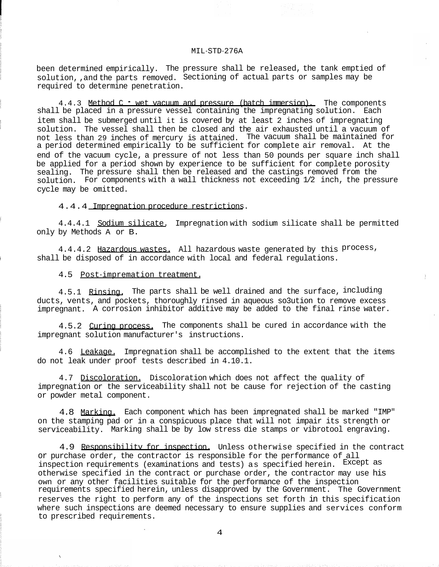been determined empirically. The pressure shall be released, the tank emptied of solution, ,and the parts removed. Sectioning of actual parts or samples may be required to determine penetration.

4.4.3 Method C <sup>-</sup> wet vacuum and pressure (batch immersion). The components shall be placed in a pressure vessel containing the impregnating solution. Each item shall be submerged until it is covered by at least 2 inches of impregnating solution. The vessel shall then be closed and the air exhausted until a vacuum of not less than 29 inches of mercury is attained. a period determined empirically to be sufficient for complete air removal. At the end of the vacuum cycle, a pressure of not less than 50 pounds per square inch shall be applied for a period shown by experience to be sufficient for complete porosity sealing. The pressure shall then be released and the castings removed from the solution. For components with a wall thickness not exceeding 1/2 inch, the pressure cycle may be omitted. The vacuum shall be maintained for

#### 4.4.4 Impregnation procedure restrictions.

4.4.4.1 Sodium silicate. Impregnation with sodium silicate shall be permitted only by Methods A or B.

4.4.4.2 Hazardous wastes. All hazardous waste generated by this Process, shall be disposed of in accordance with local and federal regulations.

#### 4.5 Post-impremation treatment.

4.5.1 Rinsing. The parts shall be well drained and the surface, including ducts, vents, and pockets, thoroughly rinsed in aqueous so3ution to remove excess impregnant. A corrosion inhibitor additive may be added to the final rinse water.

4.5.2 Curing process. The components shall be cured in accordance with the impregnant solution manufacturer's instructions.

4.6 Leakage. Impregnation shall be accomplished to the extent that the items do not leak under proof tests described in 4.10.1.

4.7 Discoloration. Discoloration which does not affect the quality of impregnation or the serviceability shall not be cause for rejection of the casting or powder metal component.

4.8 Marking. Each component which has been impregnated shall be marked "IMP" on the stamping pad or in a conspicuous place that will not impair its strength or serviceability. Marking shall be by low stress die stamps or vibrotool engraving.

4.9 Responsibilitv for inspection. Unless otherwise specified in the contract or purchase order, the contractor is responsible for the performance of all inspection requirements (examinations and tests) as specified herein. Except as otherwise specified in the contract or purchase order, the contractor may use his own or any other facilities suitable for the performance of the inspection requirements specified herein, unless disapproved by the Government. The Government reserves the right to perform any of the inspections set forth in this specification where such inspections are deemed necessary to ensure supplies and services conform to prescribed requirements.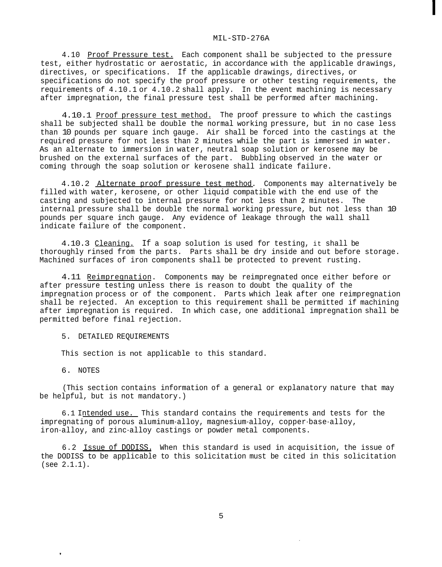4.10 Proof Pressure test. Each component shall be subjected to the pressure test, either hydrostatic or aerostatic, in accordance with the applicable drawings, directives, or specifications. If the applicable drawings, directives, or specifications do not specify the proof pressure or other testing requirements, the requirements of 4.10.1 or 4.10.2 shall apply. In the event machining is necessary after impregnation, the final pressure test shall be performed after machining.

4.10.1 Proof pressure test method. The proof pressure to which the castings shall be subjected shall be double the normal working pressure, but in no case less than 10 pounds per square inch gauge. Air shall be forced into the castings at the required pressure for not less than 2 minutes while the part is immersed in water. As an alternate to immersion in water, neutral soap solution or kerosene may be brushed on the external surfaces of the part. Bubbling observed in the water or coming through the soap solution or kerosene shall indicate failure.

4.10.2 Alternate proof pressure test method. Components may alternatively be filled with water, kerosene, or other liquid compatible with the end use of the casting and subjected to internal pressure for not less than 2 minutes. The internal pressure shall be double the normal working pressure, but not less than 10 pounds per square inch gauge. Any evidence of leakage through the wall shall indicate failure of the component.

4.10.3 Cleaning. If a soap solution is used for testing, it shall be thoroughly rinsed from the parts. Parts shall be dry inside and out before storage. Machined surfaces of iron components shall be protected to prevent rusting.

4.11 Reimpregnation. Components may be reimpregnated once either before or after pressure testing unless there is reason to doubt the quality of the impregnation process or of the component. Parts which leak after one reimpregnation shall be rejected. An exception to this requirement shall be permitted if machining after impregnation is required. In which case, one additional impregnation shall be permitted before final rejection.

#### 5. DETAILED REQUIREMENTS

This section is not applicable to this standard.

## 6. NOTES

,

(This section contains information of a general or explanatory nature that may be helpful, but is not mandatory.)

6.1 Intended use. This standard contains the requirements and tests for the impregnating of porous aluminum-alloy, magnesium-alloy, copper-base-alloy, iron-alloy, and zinc-alloy castings or powder metal components.

6.2 Issue of DODISS. When this standard is used in acquisition, the issue of the DODISS to be applicable to this solicitation must be cited in this solicitation (see 2.1.1).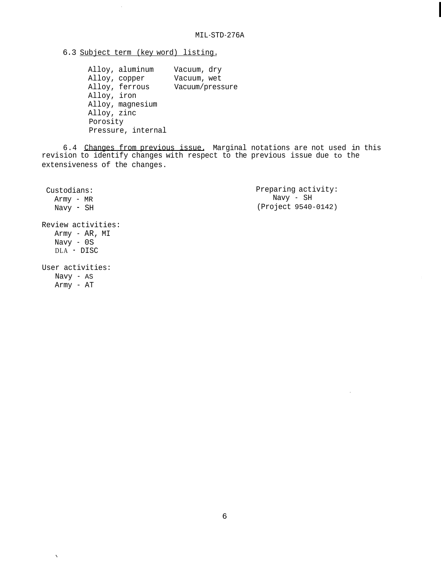I

6.3 Subject term (key word) listing.

Alloy, aluminum Vacuum, dry<br>Alloy, copper Vacuum, wet Alloy, copper Alloy, ferrous Vacuum/pressure Alloy, iron Alloy, magnesium Alloy, zinc Porosity Pressure, internal

6.4 Changes from previous issue. Marginal notations are not used in this revision to identify changes with respect to the previous issue due to the extensiveness of the changes.

Custodians: Army - MR Navy - SH Review activities: Army - AR, MI Navy - 0S DLA - DISC Preparing activity: (Project 9540-0142) Navy - SH User activities:

Navy - AS Army - AT

 $\bar{\mathbf{v}}$